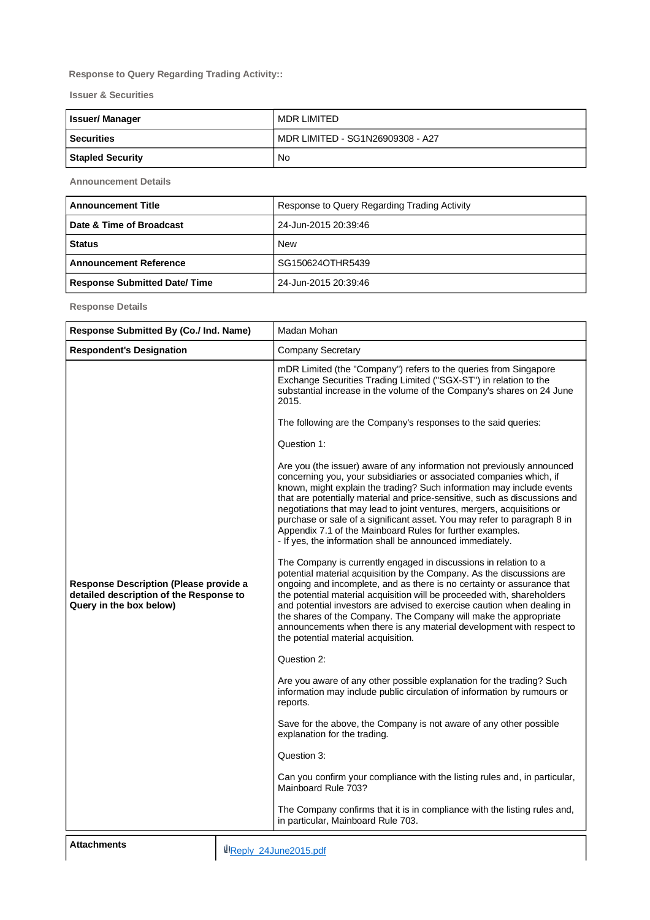## **Response to Query Regarding Trading Activity::**

**Issuer & Securities**

| <b>Issuer/Manager</b>   | MDR LIMITED                      |
|-------------------------|----------------------------------|
| <b>Securities</b>       | MDR LIMITED - SG1N26909308 - A27 |
| <b>Stapled Security</b> | No                               |

**Announcement Details**

| <b>Announcement Title</b>           | Response to Query Regarding Trading Activity |
|-------------------------------------|----------------------------------------------|
| Date & Time of Broadcast            | 24-Jun-2015 20:39:46                         |
| <b>Status</b>                       | <b>New</b>                                   |
| <b>Announcement Reference</b>       | SG150624OTHR5439                             |
| <b>Response Submitted Date/Time</b> | 24-Jun-2015 20:39:46                         |

**Response Details**

| Response Submitted By (Co./ Ind. Name)                                                                              |                                                                                                                   | Madan Mohan                                                                                                                                                                                                                                                                                                                                                                                                                                                                                                                                                                                                                                                                                                                                                                                                                                                                                                                                                                                                                                                                                                                                                                                                                                                                                                                                                                                                                                                                                                                                                                                                                                     |
|---------------------------------------------------------------------------------------------------------------------|-------------------------------------------------------------------------------------------------------------------|-------------------------------------------------------------------------------------------------------------------------------------------------------------------------------------------------------------------------------------------------------------------------------------------------------------------------------------------------------------------------------------------------------------------------------------------------------------------------------------------------------------------------------------------------------------------------------------------------------------------------------------------------------------------------------------------------------------------------------------------------------------------------------------------------------------------------------------------------------------------------------------------------------------------------------------------------------------------------------------------------------------------------------------------------------------------------------------------------------------------------------------------------------------------------------------------------------------------------------------------------------------------------------------------------------------------------------------------------------------------------------------------------------------------------------------------------------------------------------------------------------------------------------------------------------------------------------------------------------------------------------------------------|
| <b>Respondent's Designation</b>                                                                                     |                                                                                                                   | Company Secretary                                                                                                                                                                                                                                                                                                                                                                                                                                                                                                                                                                                                                                                                                                                                                                                                                                                                                                                                                                                                                                                                                                                                                                                                                                                                                                                                                                                                                                                                                                                                                                                                                               |
| <b>Response Description (Please provide a</b><br>detailed description of the Response to<br>Query in the box below) |                                                                                                                   | mDR Limited (the "Company") refers to the queries from Singapore<br>Exchange Securities Trading Limited ("SGX-ST") in relation to the<br>substantial increase in the volume of the Company's shares on 24 June<br>2015.<br>The following are the Company's responses to the said queries:<br>Question 1:<br>Are you (the issuer) aware of any information not previously announced<br>concerning you, your subsidiaries or associated companies which, if<br>known, might explain the trading? Such information may include events<br>that are potentially material and price-sensitive, such as discussions and<br>negotiations that may lead to joint ventures, mergers, acquisitions or<br>purchase or sale of a significant asset. You may refer to paragraph 8 in<br>Appendix 7.1 of the Mainboard Rules for further examples.<br>- If yes, the information shall be announced immediately.<br>The Company is currently engaged in discussions in relation to a<br>potential material acquisition by the Company. As the discussions are<br>ongoing and incomplete, and as there is no certainty or assurance that<br>the potential material acquisition will be proceeded with, shareholders<br>and potential investors are advised to exercise caution when dealing in<br>the shares of the Company. The Company will make the appropriate<br>announcements when there is any material development with respect to<br>the potential material acquisition.<br>Question 2:<br>Are you aware of any other possible explanation for the trading? Such<br>information may include public circulation of information by rumours or<br>reports. |
|                                                                                                                     | Save for the above, the Company is not aware of any other possible<br>explanation for the trading.<br>Question 3: |                                                                                                                                                                                                                                                                                                                                                                                                                                                                                                                                                                                                                                                                                                                                                                                                                                                                                                                                                                                                                                                                                                                                                                                                                                                                                                                                                                                                                                                                                                                                                                                                                                                 |
|                                                                                                                     |                                                                                                                   |                                                                                                                                                                                                                                                                                                                                                                                                                                                                                                                                                                                                                                                                                                                                                                                                                                                                                                                                                                                                                                                                                                                                                                                                                                                                                                                                                                                                                                                                                                                                                                                                                                                 |
|                                                                                                                     |                                                                                                                   | Can you confirm your compliance with the listing rules and, in particular,<br>Mainboard Rule 703?                                                                                                                                                                                                                                                                                                                                                                                                                                                                                                                                                                                                                                                                                                                                                                                                                                                                                                                                                                                                                                                                                                                                                                                                                                                                                                                                                                                                                                                                                                                                               |
|                                                                                                                     |                                                                                                                   | The Company confirms that it is in compliance with the listing rules and,<br>in particular, Mainboard Rule 703.                                                                                                                                                                                                                                                                                                                                                                                                                                                                                                                                                                                                                                                                                                                                                                                                                                                                                                                                                                                                                                                                                                                                                                                                                                                                                                                                                                                                                                                                                                                                 |
| <b>Attachments</b>                                                                                                  |                                                                                                                   | Reply 24June2015.pdf                                                                                                                                                                                                                                                                                                                                                                                                                                                                                                                                                                                                                                                                                                                                                                                                                                                                                                                                                                                                                                                                                                                                                                                                                                                                                                                                                                                                                                                                                                                                                                                                                            |